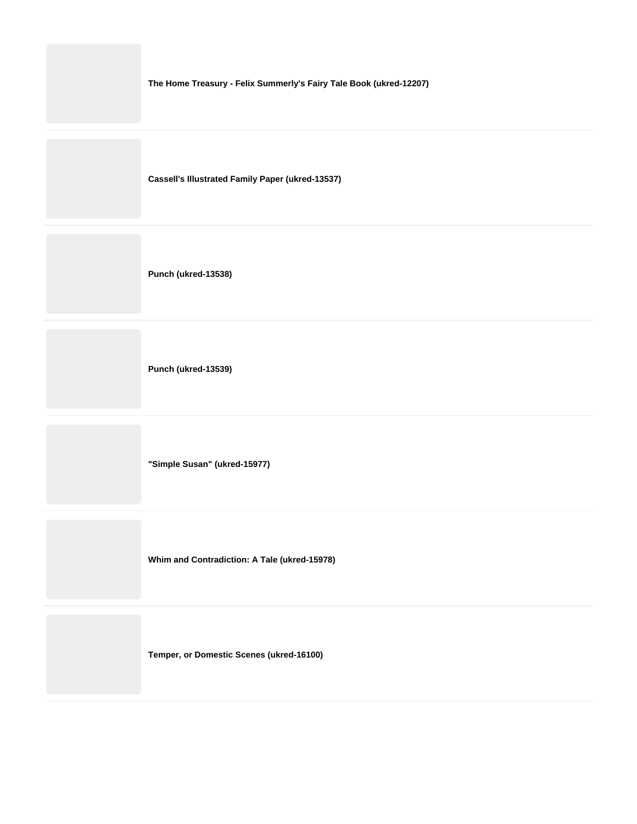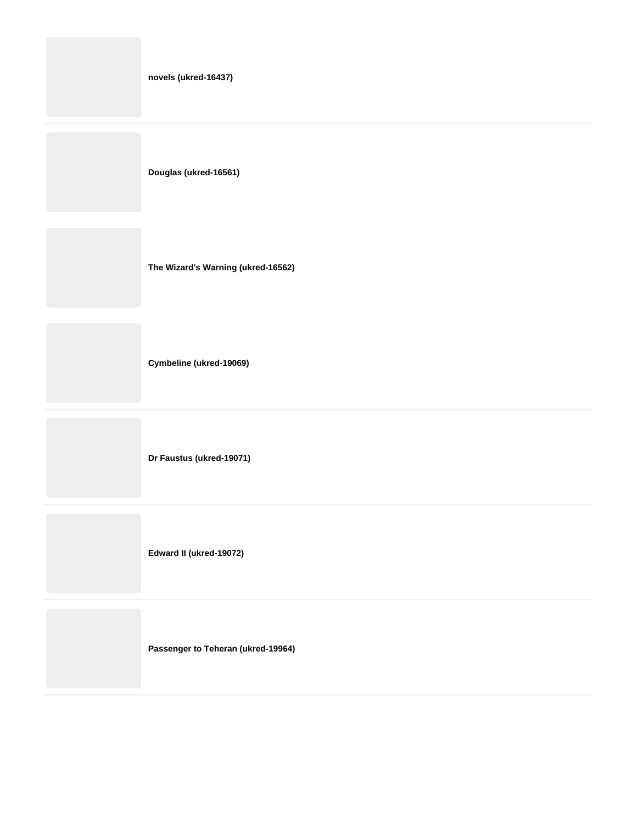| novels (ukred-16437)               |
|------------------------------------|
| Douglas (ukred-16561)              |
| The Wizard's Warning (ukred-16562) |
|                                    |

**Cymbeline (ukred-19069)**

**Dr Faustus (ukred-19071)**

**Edward II (ukred-19072)**

**Passenger to Teheran (ukred-19964)**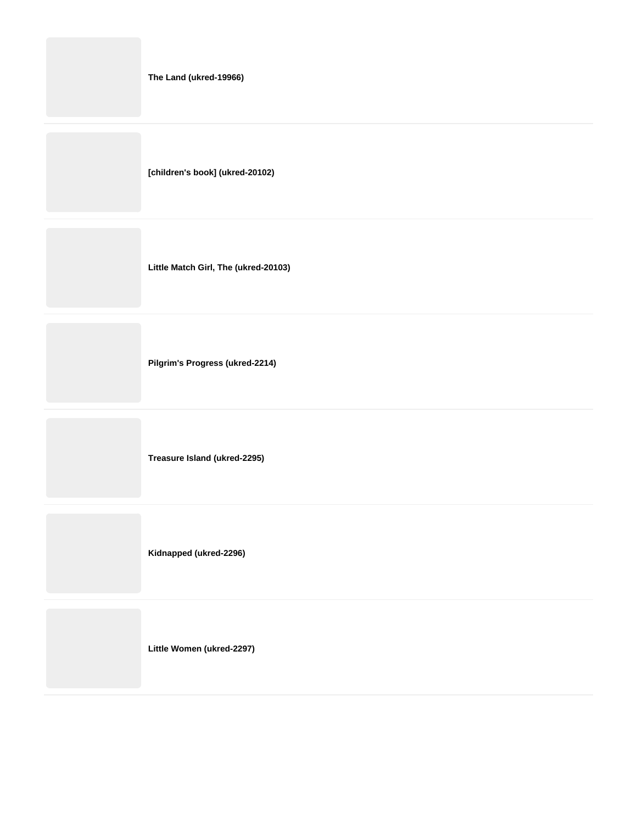|  |  | The Land (ukred-19966) |
|--|--|------------------------|
|--|--|------------------------|

**[children's book] (ukred-20102)**

**Little Match Girl, The (ukred-20103)**

**Pilgrim's Progress (ukred-2214)**

**Treasure Island (ukred-2295)**

**Kidnapped (ukred-2296)**

**Little Women (ukred-2297)**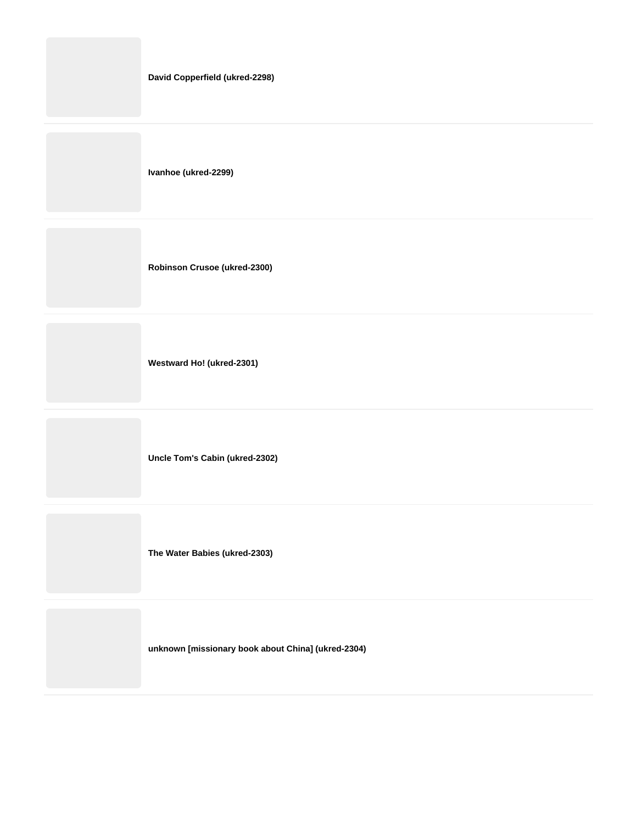| David Copperfield (ukred-2298) |
|--------------------------------|
| Ivanhoe (ukred-2299)           |
| Robinson Crusoe (ukred-2300)   |
| Westward Ho! (ukred-2301)      |

**Uncle Tom's Cabin (ukred-2302)**

**The Water Babies (ukred-2303)**

**unknown [missionary book about China] (ukred-2304)**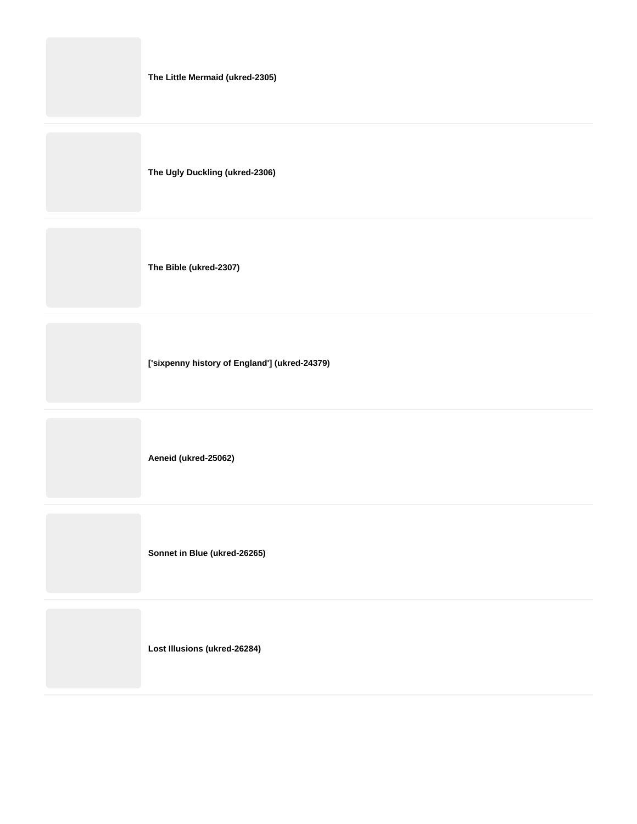| The Little Mermaid (ukred-2305) |
|---------------------------------|
|                                 |
|                                 |

**The Ugly Duckling (ukred-2306)**

**The Bible (ukred-2307)**

**['sixpenny history of England'] (ukred-24379)**

**Aeneid (ukred-25062)**

**Sonnet in Blue (ukred-26265)**

**Lost Illusions (ukred-26284)**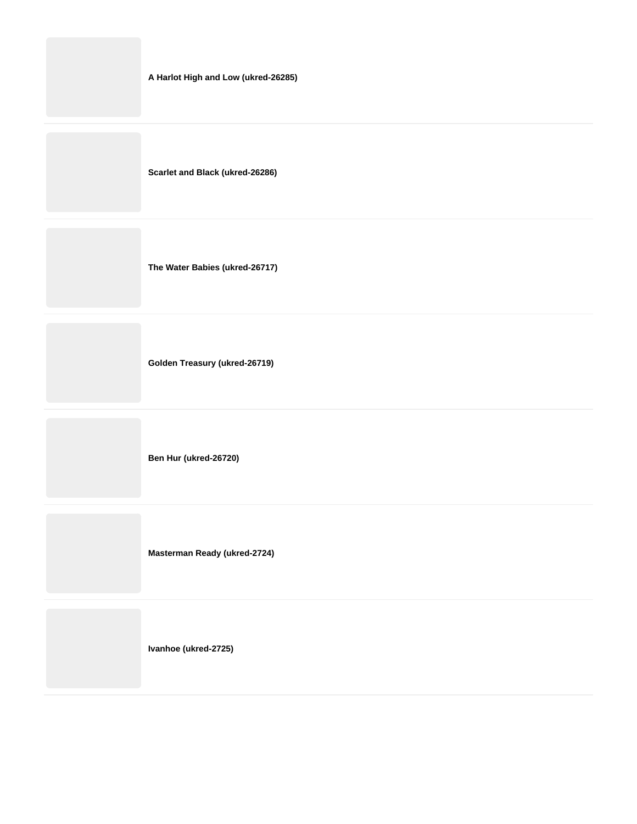**Scarlet and Black (ukred-26286)**

**The Water Babies (ukred-26717)**

**Golden Treasury (ukred-26719)**

**Ben Hur (ukred-26720)**

**Masterman Ready (ukred-2724)**

**Ivanhoe (ukred-2725)**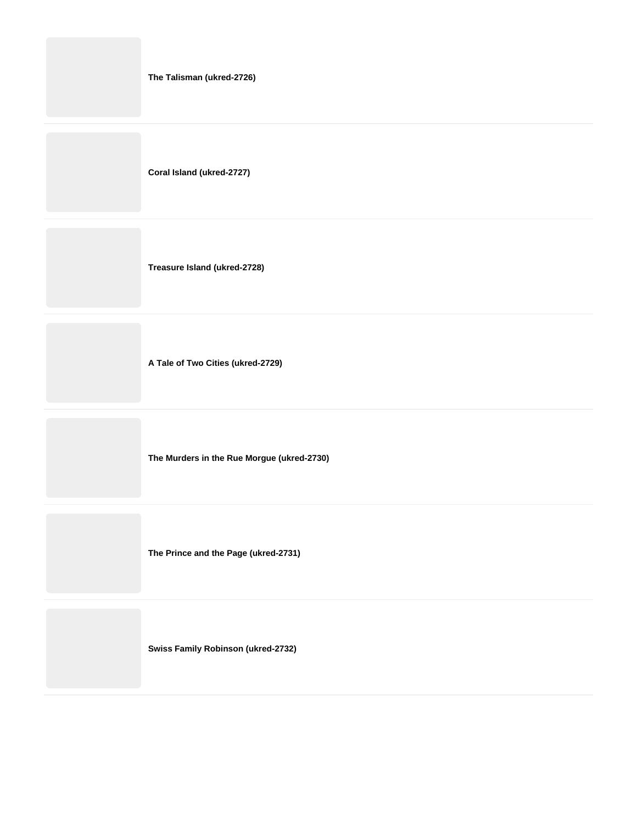| The Talisman (ukred-2726) |  |
|---------------------------|--|
|---------------------------|--|

**Coral Island (ukred-2727)**

**Treasure Island (ukred-2728)**

**A Tale of Two Cities (ukred-2729)**

**The Murders in the Rue Morgue (ukred-2730)**

**The Prince and the Page (ukred-2731)**

**Swiss Family Robinson (ukred-2732)**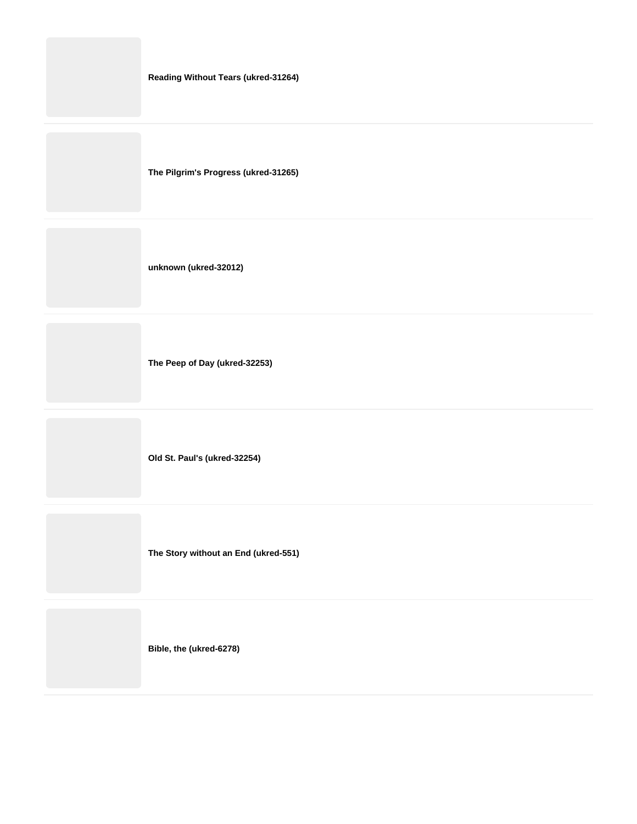|  |  | <b>Reading Without Tears (ukred-31264)</b> |
|--|--|--------------------------------------------|
|--|--|--------------------------------------------|

**The Pilgrim's Progress (ukred-31265)**

**unknown (ukred-32012)**

**The Peep of Day (ukred-32253)**

**Old St. Paul's (ukred-32254)**

**The Story without an End (ukred-551)**

**Bible, the (ukred-6278)**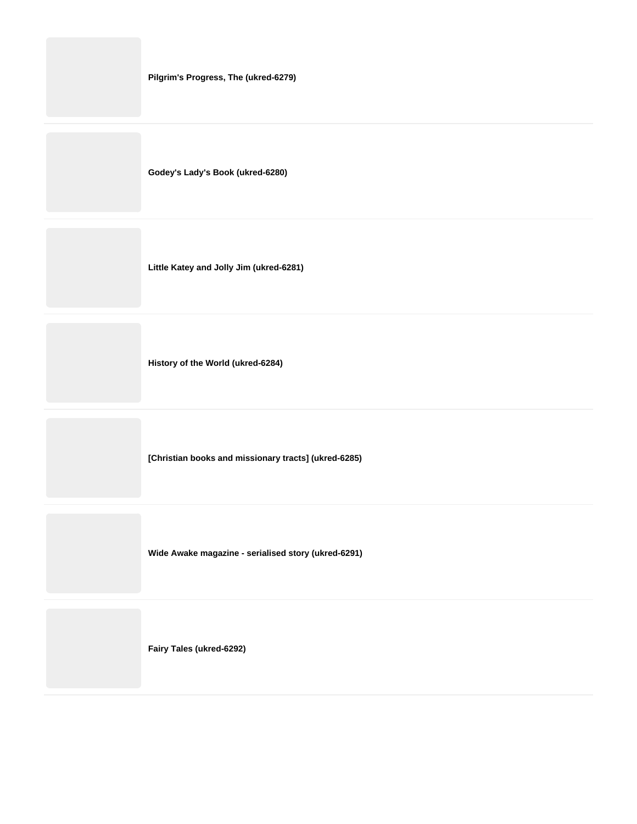| Pilgrim's Progress, The (ukred-6279) |
|--------------------------------------|
| Godey's Lady's Book (ukred-6280)     |

**Little Katey and Jolly Jim (ukred-6281)**

**History of the World (ukred-6284)**

**[Christian books and missionary tracts] (ukred-6285)**

**Wide Awake magazine - serialised story (ukred-6291)**

**Fairy Tales (ukred-6292)**